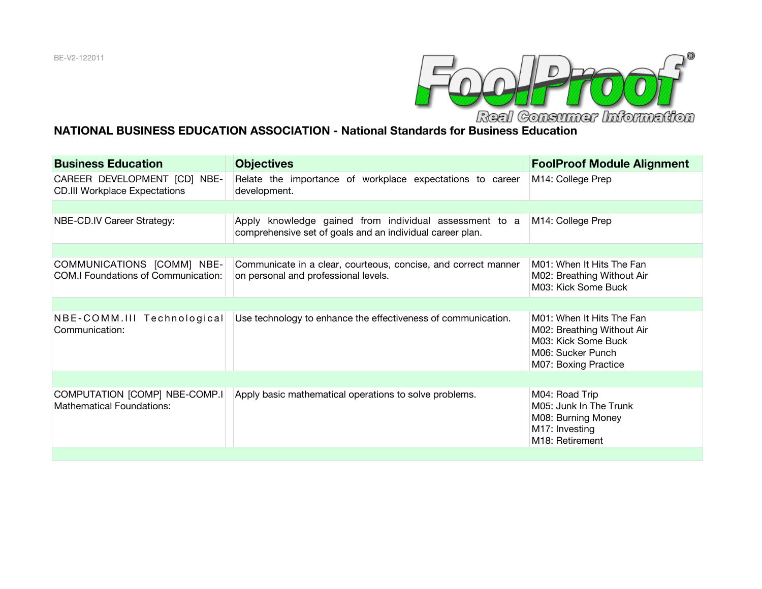

## **NATIONAL BUSINESS EDUCATION ASSOCIATION - National Standards for Business Education**

| <b>Business Education</b>                                                | <b>Objectives</b>                                                                                                   | <b>FoolProof Module Alignment</b>                                                                                           |
|--------------------------------------------------------------------------|---------------------------------------------------------------------------------------------------------------------|-----------------------------------------------------------------------------------------------------------------------------|
| CAREER DEVELOPMENT [CD] NBE-<br><b>CD.III Workplace Expectations</b>     | Relate the importance of workplace expectations to career<br>development.                                           | M14: College Prep                                                                                                           |
|                                                                          |                                                                                                                     |                                                                                                                             |
| NBE-CD.IV Career Strategy:                                               | Apply knowledge gained from individual assessment to a<br>comprehensive set of goals and an individual career plan. | M14: College Prep                                                                                                           |
|                                                                          |                                                                                                                     |                                                                                                                             |
| COMMUNICATIONS [COMM] NBE-<br><b>COM.I Foundations of Communication:</b> | Communicate in a clear, courteous, concise, and correct manner<br>on personal and professional levels.              | M01: When It Hits The Fan<br>M02: Breathing Without Air<br>M03: Kick Some Buck                                              |
|                                                                          |                                                                                                                     |                                                                                                                             |
| NBE-COMM.III Technological<br>Communication:                             | Use technology to enhance the effectiveness of communication.                                                       | M01: When It Hits The Fan<br>M02: Breathing Without Air<br>M03: Kick Some Buck<br>M06: Sucker Punch<br>M07: Boxing Practice |
|                                                                          |                                                                                                                     |                                                                                                                             |
| COMPUTATION [COMP] NBE-COMP.I<br><b>Mathematical Foundations:</b>        | Apply basic mathematical operations to solve problems.                                                              | M04: Road Trip<br>M05: Junk In The Trunk<br>M08: Burning Money<br>M17: Investing<br>M18: Retirement                         |
|                                                                          |                                                                                                                     |                                                                                                                             |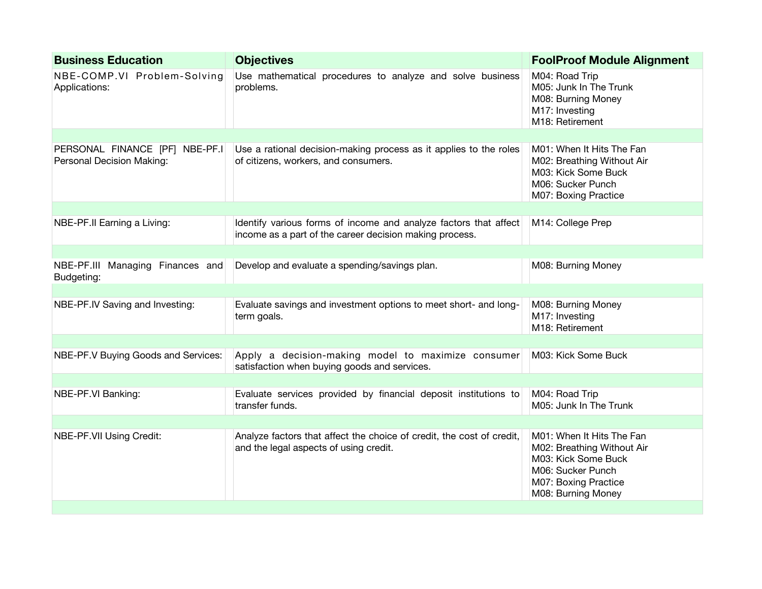| <b>Business Education</b>                                   | <b>Objectives</b>                                                                                                           | <b>FoolProof Module Alignment</b>                                                                                                                 |
|-------------------------------------------------------------|-----------------------------------------------------------------------------------------------------------------------------|---------------------------------------------------------------------------------------------------------------------------------------------------|
| NBE-COMP.VI Problem-Solving<br>Applications:                | Use mathematical procedures to analyze and solve business<br>problems.                                                      | M04: Road Trip<br>M05: Junk In The Trunk<br>M08: Burning Money<br>M17: Investing<br>M18: Retirement                                               |
|                                                             |                                                                                                                             |                                                                                                                                                   |
| PERSONAL FINANCE [PF] NBE-PF.I<br>Personal Decision Making: | Use a rational decision-making process as it applies to the roles<br>of citizens, workers, and consumers.                   | M01: When It Hits The Fan<br>M02: Breathing Without Air<br>M03: Kick Some Buck<br>M06: Sucker Punch<br>M07: Boxing Practice                       |
|                                                             |                                                                                                                             |                                                                                                                                                   |
| NBE-PF.II Earning a Living:                                 | Identify various forms of income and analyze factors that affect<br>income as a part of the career decision making process. | M14: College Prep                                                                                                                                 |
|                                                             |                                                                                                                             |                                                                                                                                                   |
| NBE-PF.III Managing Finances and<br>Budgeting:              | Develop and evaluate a spending/savings plan.                                                                               | M08: Burning Money                                                                                                                                |
|                                                             |                                                                                                                             |                                                                                                                                                   |
| NBE-PF.IV Saving and Investing:                             | Evaluate savings and investment options to meet short- and long-<br>term goals.                                             | M08: Burning Money<br>M17: Investing<br>M18: Retirement                                                                                           |
|                                                             |                                                                                                                             |                                                                                                                                                   |
| NBE-PF.V Buying Goods and Services:                         | Apply a decision-making model to maximize consumer<br>satisfaction when buying goods and services.                          | M03: Kick Some Buck                                                                                                                               |
|                                                             |                                                                                                                             |                                                                                                                                                   |
| NBE-PF.VI Banking:                                          | Evaluate services provided by financial deposit institutions to<br>transfer funds.                                          | M04: Road Trip<br>M05: Junk In The Trunk                                                                                                          |
|                                                             |                                                                                                                             |                                                                                                                                                   |
| NBE-PF.VII Using Credit:                                    | Analyze factors that affect the choice of credit, the cost of credit,<br>and the legal aspects of using credit.             | M01: When It Hits The Fan<br>M02: Breathing Without Air<br>M03: Kick Some Buck<br>M06: Sucker Punch<br>M07: Boxing Practice<br>M08: Burning Money |
|                                                             |                                                                                                                             |                                                                                                                                                   |